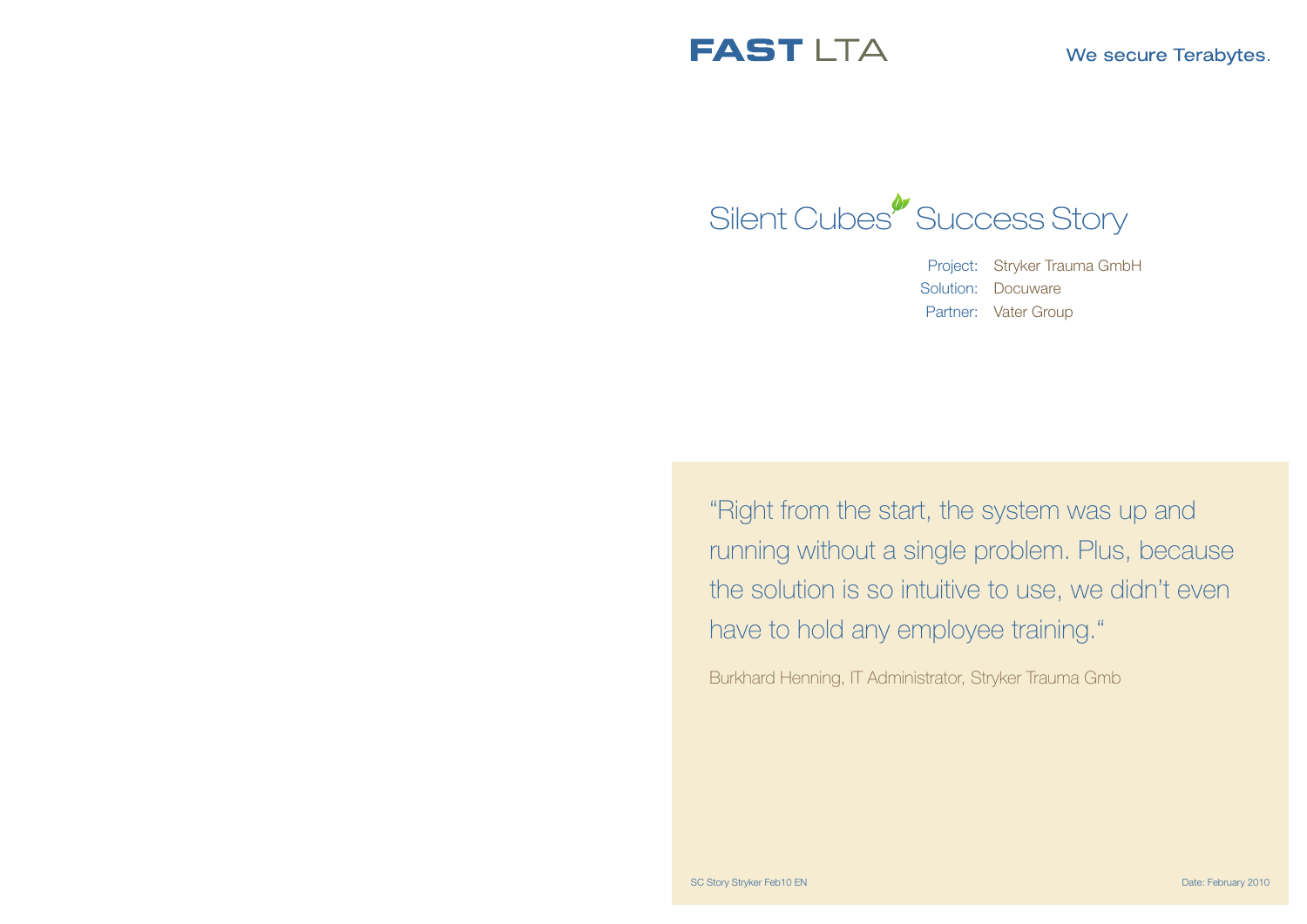



Project: Stryker Trauma GmbH Solution: Docuware Partner: Vater Group

"Right from the start, the system was up and running without a single problem. Plus, because the solution is so intuitive to use, we didn't even have to hold any employee training."

Burkhard Henning, IT Administrator, Stryker Trauma Gmb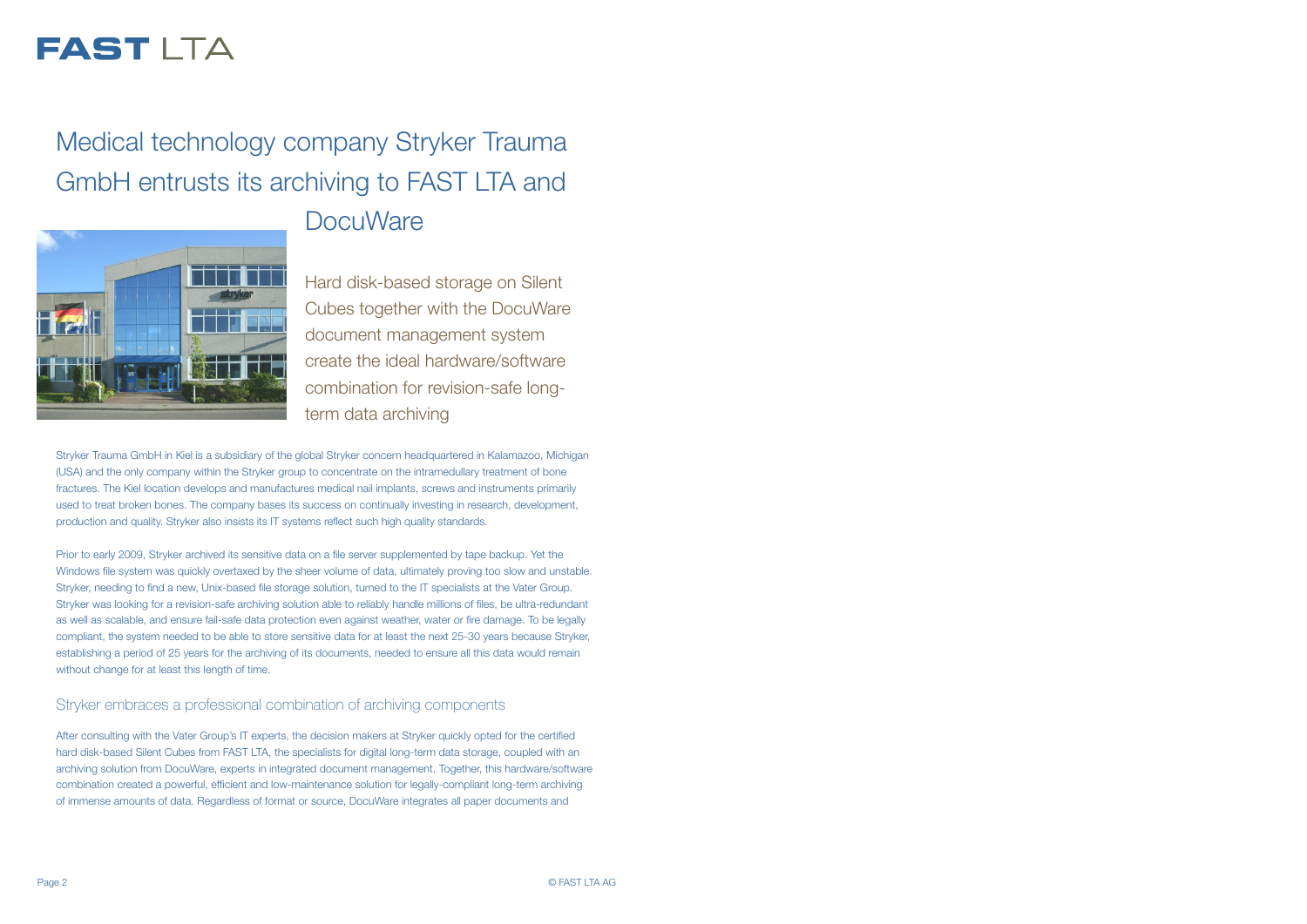# FASTITA

## Medical technology company Stryker Trauma GmbH entrusts its archiving to FAST LTA and



### **DocuWare**

Hard disk-based storage on Silent Cubes together with the DocuWare document management system create the ideal hardware/software combination for revision-safe longterm data archiving

Stryker Trauma GmbH in Kiel is a subsidiary of the global Stryker concern headquartered in Kalamazoo, Michigan (USA) and the only company within the Stryker group to concentrate on the intramedullary treatment of bone fractures. The Kiel location develops and manufactures medical nail implants, screws and instruments primarily used to treat broken bones. The company bases its success on continually investing in research, development, production and quality. Stryker also insists its IT systems reflect such high quality standards.

Prior to early 2009, Stryker archived its sensitive data on a file server supplemented by tape backup. Yet the Windows file system was quickly overtaxed by the sheer volume of data, ultimately proving too slow and unstable. Stryker, needing to find a new, Unix-based file storage solution, turned to the IT specialists at the Vater Group. Stryker was looking for a revision-safe archiving solution able to reliably handle millions of files, be ultra-redundant as well as scalable, and ensure fail-safe data protection even against weather, water or fire damage. To be legally compliant, the system needed to be able to store sensitive data for at least the next 25-30 years because Stryker, establishing a period of 25 years for the archiving of its documents, needed to ensure all this data would remain without change for at least this length of time.

#### Stryker embraces a professional combination of archiving components

After consulting with the Vater Group's IT experts, the decision makers at Stryker quickly opted for the certified hard disk-based Silent Cubes from FAST LTA, the specialists for digital long-term data storage, coupled with an archiving solution from DocuWare, experts in integrated document management. Together, this hardware/software combination created a powerful, efficient and low-maintenance solution for legally-compliant long-term archiving of immense amounts of data. Regardless of format or source, DocuWare integrates all paper documents and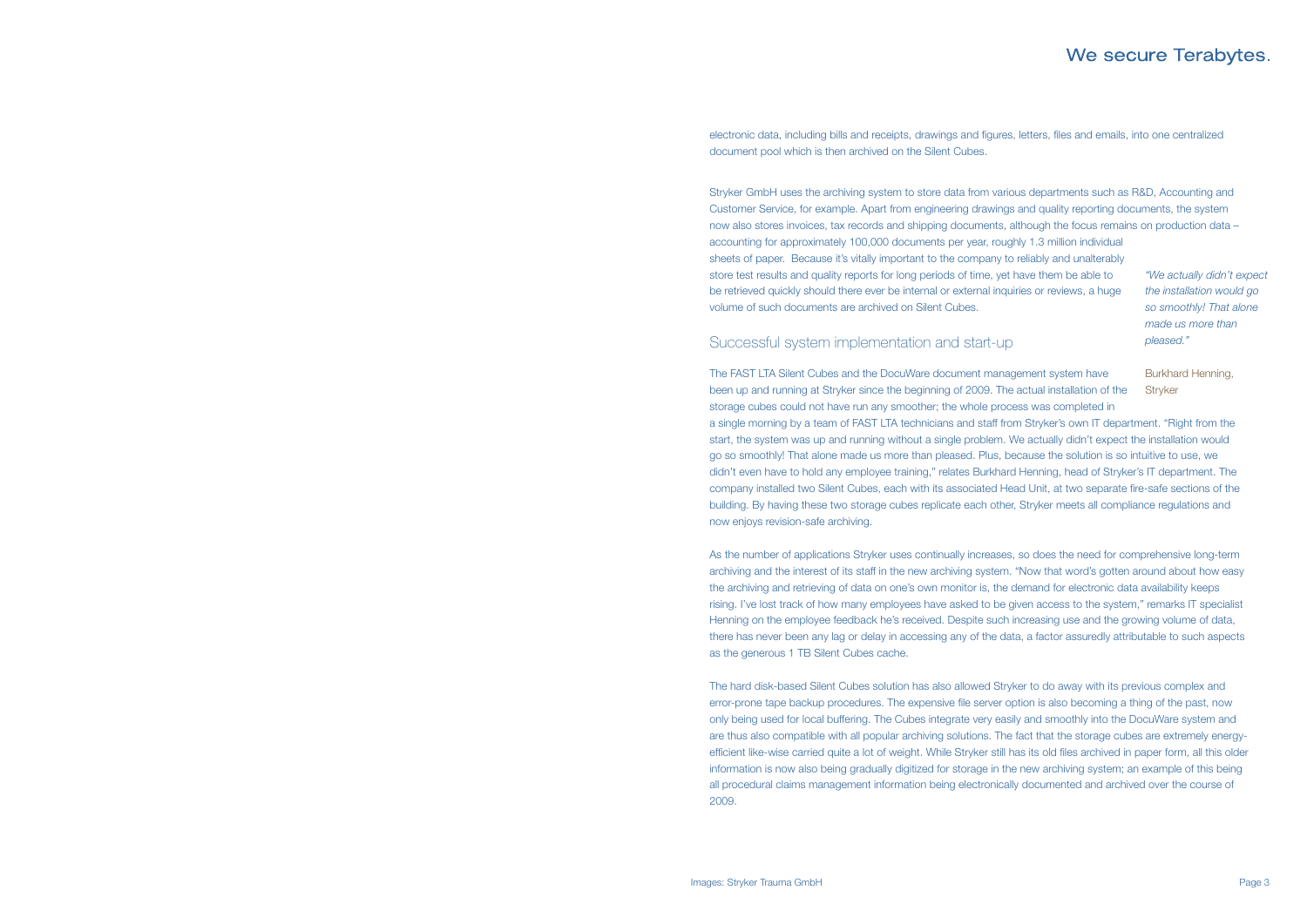### We secure Terabytes.

electronic data, including bills and receipts, drawings and figures, letters, files and emails, into one centralized document pool which is then archived on the Silent Cubes.

Stryker GmbH uses the archiving system to store data from various departments such as R&D, Accounting and Customer Service, for example. Apart from engineering drawings and quality reporting documents, the system now also stores invoices, tax records and shipping documents, although the focus remains on production data – accounting for approximately 100,000 documents per year, roughly 1.3 million individual sheets of paper. Because it's vitally important to the company to reliably and unalterably store test results and quality reports for long periods of time, yet have them be able to be retrieved quickly should there ever be internal or external inquiries or reviews, a huge volume of such documents are archived on Silent Cubes.

#### Successful system implementation and start-up

The FAST LTA Silent Cubes and the DocuWare document management system have been up and running at Stryker since the beginning of 2009. The actual installation of the storage cubes could not have run any smoother; the whole process was completed in

a single morning by a team of FAST LTA technicians and staff from Stryker's own IT department. "Right from the start, the system was up and running without a single problem. We actually didn't expect the installation would go so smoothly! That alone made us more than pleased. Plus, because the solution is so intuitive to use, we didn't even have to hold any employee training," relates Burkhard Henning, head of Stryker's IT department. The company installed two Silent Cubes, each with its associated Head Unit, at two separate fire-safe sections of the building. By having these two storage cubes replicate each other, Stryker meets all compliance regulations and now enjoys revision-safe archiving.

As the number of applications Stryker uses continually increases, so does the need for comprehensive long-term archiving and the interest of its staff in the new archiving system. "Now that word's gotten around about how easy the archiving and retrieving of data on one's own monitor is, the demand for electronic data availability keeps rising. I've lost track of how many employees have asked to be given access to the system," remarks IT specialist Henning on the employee feedback he's received. Despite such increasing use and the growing volume of data, there has never been any lag or delay in accessing any of the data, a factor assuredly attributable to such aspects as the generous 1 TB Silent Cubes cache.

The hard disk-based Silent Cubes solution has also allowed Stryker to do away with its previous complex and error-prone tape backup procedures. The expensive file server option is also becoming a thing of the past, now only being used for local buffering. The Cubes integrate very easily and smoothly into the DocuWare system and are thus also compatible with all popular archiving solutions. The fact that the storage cubes are extremely energyefficient like-wise carried quite a lot of weight. While Stryker still has its old files archived in paper form, all this older information is now also being gradually digitized for storage in the new archiving system; an example of this being all procedural claims management information being electronically documented and archived over the course of 2009.

*"We actually didn't expect the installation would go so smoothly! That alone made us more than pleased."*

Burkhard Henning, **Stryker**